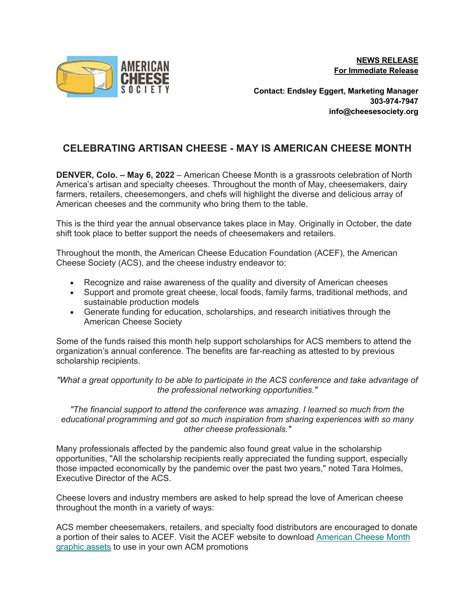**NEWS RELEASE For Immediate Release**



**Contact: Endsley Eggert, Marketing Manager 303-974-7947 info@cheesesociety.org**

## **CELEBRATING ARTISAN CHEESE - MAY IS AMERICAN CHEESE MONTH**

**DENVER, Colo. – May 6, 2022** – American Cheese Month is a grassroots celebration of North America's artisan and specialty cheeses. Throughout the month of May, cheesemakers, dairy farmers, retailers, cheesemongers, and chefs will highlight the diverse and delicious array of American cheeses and the community who bring them to the table.

This is the third year the annual observance takes place in May. Originally in October, the date shift took place to better support the needs of cheesemakers and retailers.

Throughout the month, the American Cheese Education Foundation (ACEF), the American Cheese Society (ACS), and the cheese industry endeavor to:

- Recognize and raise awareness of the quality and diversity of American cheeses
- Support and promote great cheese, local foods, family farms, traditional methods, and sustainable production models
- Generate funding for education, scholarships, and research initiatives through the American Cheese Society

Some of the funds raised this month help support scholarships for ACS members to attend the organization's annual conference. The benefits are far-reaching as attested to by previous scholarship recipients.

*"What a great opportunity to be able to participate in the ACS conference and take advantage of the professional networking opportunities."*

*"The financial support to attend the conference was amazing. I learned so much from the educational programming and got so much inspiration from sharing experiences with so many other cheese professionals."*

Many professionals affected by the pandemic also found great value in the scholarship opportunities, "All the scholarship recipients really appreciated the funding support, especially those impacted economically by the pandemic over the past two years," noted Tara Holmes, Executive Director of the ACS.

Cheese lovers and industry members are asked to help spread the love of American cheese throughout the month in a variety of ways:

ACS member cheesemakers, retailers, and specialty food distributors are encouraged to donate a portion of their sales to ACEF. Visit the ACEF website to download American Cheese Month graphic assets to use in your own ACM promotions